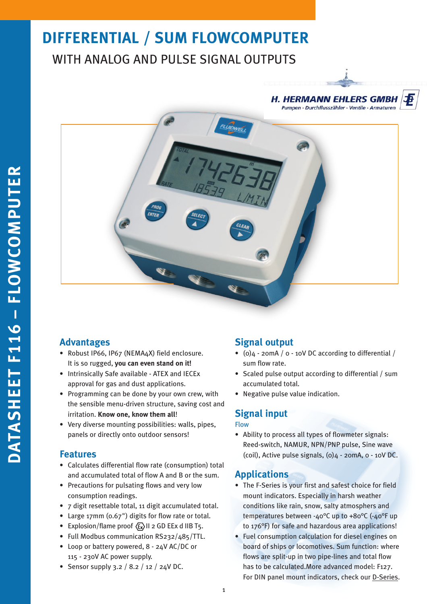# **DIFFERENTIAL / SUM FLOWCOMPUTER** WITH ANALOG AND PULSE SIGNAL OUTPUTS

### **H. HERMANN EHLERS GMBH** Pumpen · Durchflusszähler · Ventile · Armaturen





## **Advantages**

- Robust IP66, IP67 (NEMA4X) field enclosure. It is so rugged, **you can even stand on it!**
- Intrinsically Safe available ATEX and IECEx approval for gas and dust applications.
- Programming can be done by your own crew, with the sensible menu-driven structure, saving cost and irritation. **Know one, know them all**!
- Very diverse mounting possibilities: walls, pipes, panels or directly onto outdoor sensors!

## **Features**

- Calculates differential flow rate (consumption) total and accumulated total of flow A and B or the sum.
- Precautions for pulsating flows and very low consumption readings.
- 7 digit resettable total, 11 digit accumulated total.
- Large 17mm (0.67") digits for flow rate or total.
- Explosion/flame proof  $\langle \xi_x \rangle$  II 2 GD EEx d IIB T5.
- Full Modbus communication RS232/485/TTL.
- Loop or battery powered, 8 24V AC/DC or 115 - 230V AC power supply.
- Sensor supply 3.2 / 8.2 / 12 / 24V DC.

## **Signal output**

- (0)4 20mA / 0 10V DC according to differential / sum flow rate.
- Scaled pulse output according to differential / sum accumulated total.
- Negative pulse value indication.

## **Signal input**

### Flow

• Ability to process all types of flowmeter signals: Reed-switch, NAMUR, NPN/PNP pulse, Sine wave (coil), Active pulse signals,  $(0)$ 4 - 20mA,  $o$  - 10V DC.

## **Applications**

- The F-Series is your first and safest choice for field mount indicators. Especially in harsh weather conditions like rain, snow, salty atmosphers and temperatures between -40°C up to +80°C (-40°F up to 176°F) for safe and hazardous area applications!
- Fuel consumption calculation for diesel engines on board of ships or locomotives. Sum function: where flows are split-up in two pipe-lines and total flow has to be calculated.More advanced model: F127. For DIN panel mount indicators, check our [D-Series.](http://www.fluidwell.com/fluidwell-displays/products/dseries/)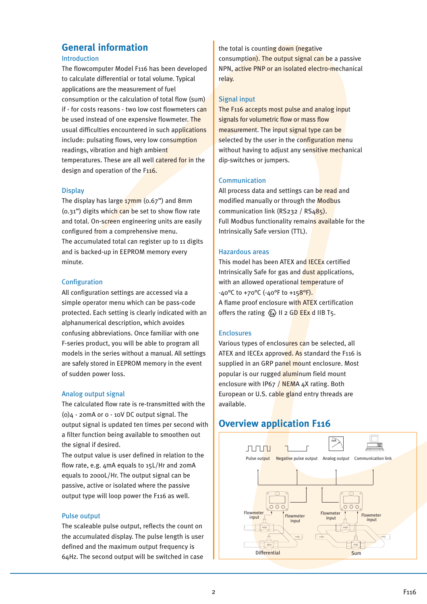## **General information**

### Introduction

The flowcomputer Model F116 has been developed to calculate differential or total volume. Typical applications are the measurement of fuel consumption or the calculation of total flow (sum) if - for costs reasons - two low cost flowmeters can be used instead of one expensive flowmeter. The usual difficulties encountered in such applications include: pulsating flows, very low consumption readings, vibration and high ambient temperatures. These are all well catered for in the design and operation of the F116.

### **Display**

The display has large  $\frac{17}{17}$ mm (0.67") and 8mm  $(0.31")$  digits which can be set to show flow rate and total. On-screen engineering units are easily configured from a comprehensive menu. The accumulated total can register up to 11 digits and is backed-up in EEPROM memory every minute.

### Configuration

All configuration settings are accessed via a simple operator menu which can be pass-code protected. Each setting is clearly indicated with an alphanumerical description, which avoides confusing abbreviations. Once familiar with one F-series product, you will be able to program all models in the series without a manual. All settings are safely stored in EEPROM memory in the event of sudden power loss.

### Analog output signal

The calculated flow rate is re-transmitted with the (0)4 - 20mA or 0 - 10V DC output signal. The output signal is updated ten times per second with a filter function being available to smoothen out the signal if desired.

The output value is user defined in relation to the flow rate, e.g. 4mA equals to 15L/Hr and 20mA equals to 2000L/Hr. The output signal can be passive, active or isolated where the passive output type will loop power the F116 as well.

### Pulse output

The scaleable pulse output, reflects the count on the accumulated display. The pulse length is user defined and the maximum output frequency is 64Hz. The second output will be switched in case

the total is counting down (negative consumption). The output signal can be a passive NPN, active PNP or an isolated electro-mechanical relay.

### Signal input

The F116 accepts most pulse and analog input signals for volumetric flow or mass flow measurement. The input signal type can be selected by the user in the configuration menu without having to adjust any sensitive mechanical dip-switches or jumpers.

### Communication

All process data and settings can be read and modified manually or through the Modbus communication link (RS232 / RS485). Full Modbus functionality remains available for the Intrinsically Safe version (TTL).

### Hazardous areas

This model has been ATEX and IECEx certified Intrinsically Safe for gas and dust applications, with an allowed operational temperature of  $-40^{\circ}$ C to  $+70^{\circ}$ C ( $-40^{\circ}$ F to  $+158^{\circ}$ F). A flame proof enclosure with ATEX certification offers the rating  $\langle \overline{\xi_x} \rangle$  II 2 GD EEx d IIB T5.

### Enclosures

Various types of enclosures can be selected, all ATEX and IECEx approved. As standard the F116 is supplied in an GRP panel mount enclosure. Most popular is our rugged aluminum field mount enclosure with IP67 / NEMA 4X rating. Both European or U.S. cable gland entry threads are available.

## **Overview application F116**

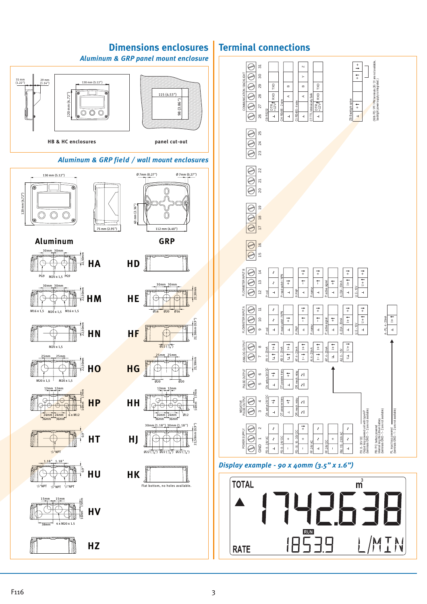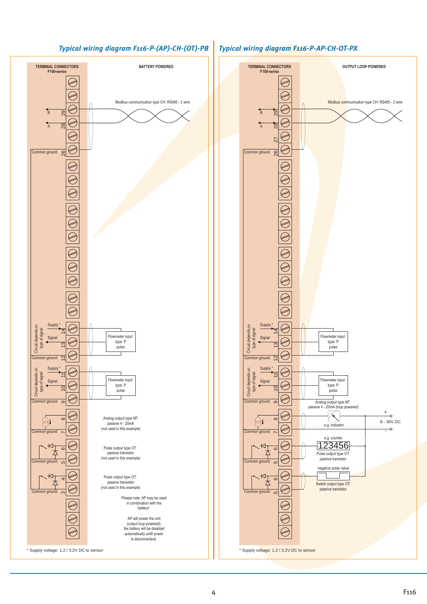### *Typical wiring diagram F116-P-(AP)-CH-(OT)-PB Typical wiring diagram F116-P-AP-CH-OT-PX*



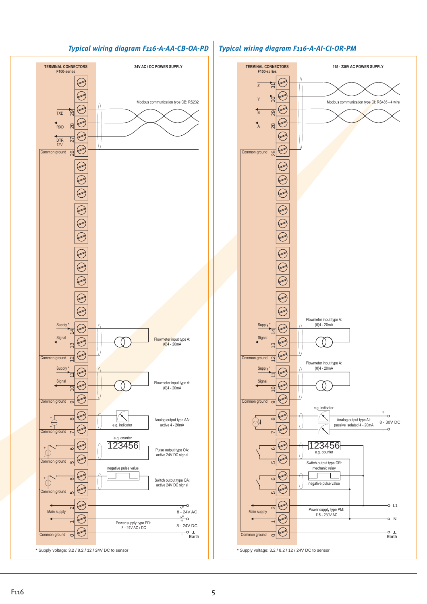



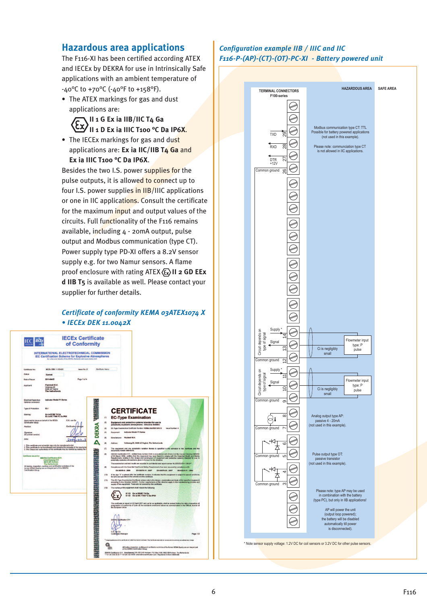## **Hazardous area applications**

The F116-XI has been certified according ATEX and IECEx by DEKRA for use in Intrinsically Safe applications with an ambient temperature of -40°C to +70°C (-40°F to +158°F).

• The ATEX markings for gas and dust applications are:

> **II 1 G Ex ia IIB/IIC T4 Ga II 1 D Ex ia IIIC T100 °C Da IP6X**.

• The IECEx markings for gas and dust applications are: **Ex ia IIC/IIB T4 Ga** and **Ex ia IIIC T100 °C Da IP6X**.

Besides the two I.S. power supplies for the pulse outputs, it is allowed to connect up to four I.S. power supplies in IIB/IIIC applications or one in IIC applications. Consult the certificate for the maximum input and output values of the circuits. Full functionality of the F116 remains available, including 4 - 20mA output, pulse output and Modbus communication (type CT). Power supply type PD-XI offers a 8.2V sensor supply e.g. for two Namur sensors. A flame proof enclosure with rating ATEX  $\langle \overline{\epsilon_x} \rangle$  **II 2 GD EEx d IIB T5** is available as well. Please contact your supplier for further details.

### *Certificate of conformity KEMA 03ATEX1074 X • IECEx DEK 11.0042X*



### *Configuration example IIB / IIIC and IIC F116-P-(AP)-(CT)-(OT)-PC-XI - Battery powered unit*

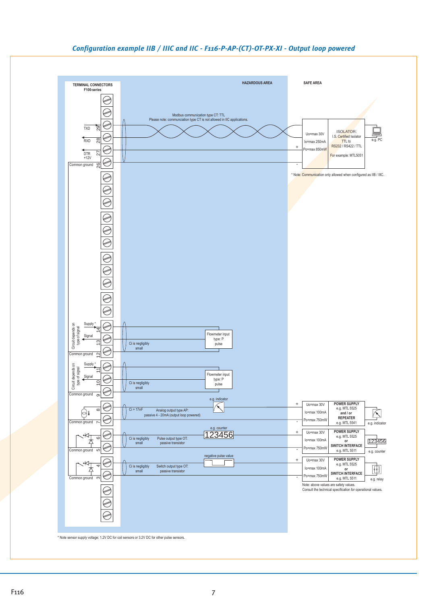### *Configuration example IIB / IIIC and IIC - F116-P-AP-(CT)-OT-PX-XI - Output loop powered*

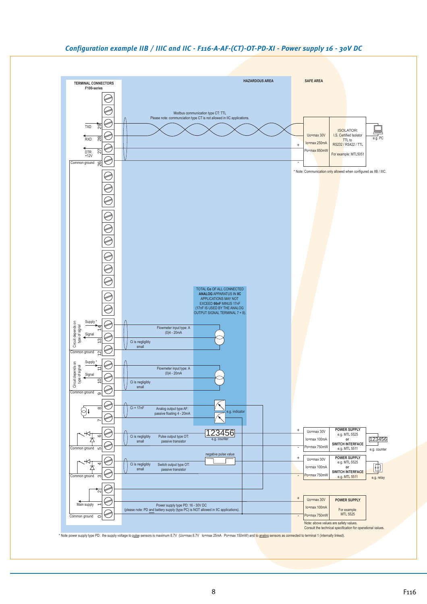

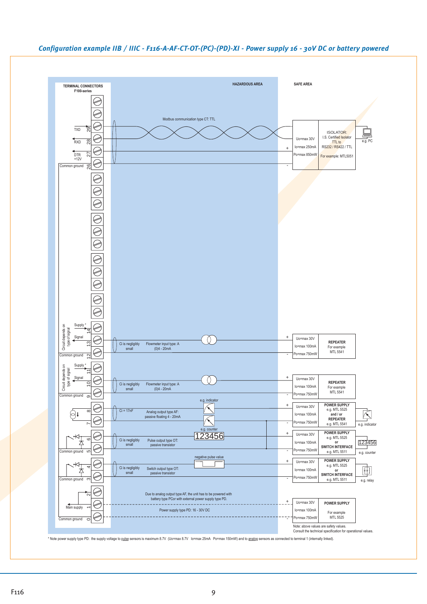

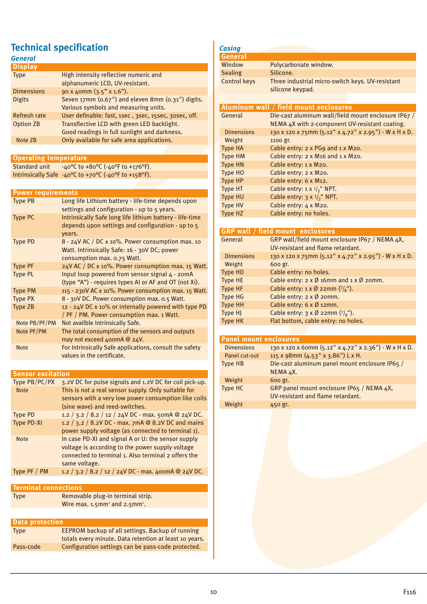## **Technical specification**

| General             |                                                      |
|---------------------|------------------------------------------------------|
| <b>Display</b>      |                                                      |
| <b>Type</b>         | High intensity reflective numeric and                |
|                     | alphanumeric LCD, UV-resistant.                      |
| <b>Dimensions</b>   | 90 x 40mm (3.5" x 1.6").                             |
| <b>Digits</b>       | Seven 17mm (0.67") and eleven 8mm (0.31") digits.    |
|                     | Various symbols and measuring units.                 |
| <b>Refresh rate</b> | User definable: fast, 1sec, 3sec, 15sec, 3osec, off. |
| <b>Option ZB</b>    | Transflective LCD with green LED backlight.          |
|                     | Good readings in full sunlight and darkness.         |
| Note ZB             | Only available for safe area applications.           |
|                     |                                                      |

### **Operating temperature**

Standard unit  $-40^{\circ}$ C to +80 $^{\circ}$ C (-40 $^{\circ}$ F to +176 $^{\circ}$ F). Intrinsically Safe -40°C to +70°C (-40°F to +158°F).

**Power requirements**

| <b>Type PB</b> | Long life Lithium battery - life-time depends upon       |
|----------------|----------------------------------------------------------|
|                | settings and configuration - up to 5 years.              |
| <b>Type PC</b> | Intrinsically Safe long life lithium battery - life-time |
|                | depends upon settings and configuration - up to 5        |
|                | vears.                                                   |
| <b>Type PD</b> | $8 - 24V$ AC / DC $\pm$ 10%. Power consumption max. 10   |
|                | Watt. Intrinsically Safe: 16 - 30V DC; power             |
|                | consumption max. 0.75 Watt.                              |
| <b>Type PF</b> | 24V AC / DC ± 10%. Power consumption max. 15 Watt.       |
| <b>Type PL</b> | Input loop powered from sensor signal 4 - 20mA           |
|                | (type "A") - requires types AI or AF and OT (not Xi).    |
| <b>Type PM</b> | 115 - 230V AC ± 10%. Power consumption max. 15 Watt.     |
| <b>Type PX</b> | 8 - 30V DC. Power consumption max. 0.5 Watt.             |
| Type ZB        | 12 - 24V DC $\pm$ 10% or internally powered with type PD |
|                | / PF / PM. Power consumption max. 1 Watt.                |
| Note PB/PF/PM  | Not availble Intrinsically Safe.                         |
| Note PF/PM     | The total consumption of the sensors and outputs         |
|                | may not exceed 400mA @ 24V.                              |
| <b>Note</b>    | For Intrinsically Safe applications, consult the safety  |
|                | values in the certificate.                               |

**Sensor excitation**

| Type PB/PC/PX     | 3.2V DC for pulse signals and 1.2V DC for coil pick-up. |
|-------------------|---------------------------------------------------------|
| <b>Note</b>       | This is not a real sensor supply. Only suitable for     |
|                   | sensors with a very low power consumption like coils    |
|                   | (sine wave) and reed-switches.                          |
| <b>Type PD</b>    | 1.2 / 3.2 / 8.2 / 12 / 24V DC - max. 50mA @ 24V DC.     |
| <b>Type PD-XI</b> | 1.2 / 3.2 / 8.2V DC - max. 7mA @ 8.2V DC and mains      |
|                   | power supply voltage (as connected to terminal 1).      |
| <b>Note</b>       | In case PD-XI and signal A or U: the sensor supply      |
|                   | voltage is according to the power supply voltage        |
|                   | connected to terminal 1. Also terminal 2 offers the     |
|                   | same voltage.                                           |
| Type PF / PM      | 1.2 / 3.2 / 8.2 / 12 / 24V DC - max. 400mA @ 24V DC.    |
|                   |                                                         |

| Terminal connections |                                                             |  |
|----------------------|-------------------------------------------------------------|--|
| <b>Type</b>          | Removable plug-in terminal strip.                           |  |
|                      | Wire max. $1.5$ mm <sup>2</sup> and $2.5$ mm <sup>2</sup> . |  |
|                      |                                                             |  |
| l Data protection    |                                                             |  |

| <b>Pata Protector</b> |                                                         |
|-----------------------|---------------------------------------------------------|
| <b>Type</b>           | <b>EEPROM backup of all settings. Backup of running</b> |
|                       | totals every minute. Data retention at least 10 years.  |
| Pass-code             | Configuration settings can be pass-code protected.      |

| <b>Casing</b>     |                                                       |
|-------------------|-------------------------------------------------------|
| <b>General</b>    |                                                       |
| Window            | Polycarbonate window.                                 |
| <b>Sealing</b>    | Silicone.                                             |
| Control keys      | Three industrial micro-switch keys. UV-resistant      |
|                   | silicone keypad.                                      |
|                   |                                                       |
|                   | Aluminum wall / field mount enclosures                |
| General           | Die-cast aluminum wall/field mount enclosure IP67 /   |
|                   | NEMA 4X with 2-component UV-resistant coating.        |
| <b>Dimensions</b> | 130 x 120 x 75mm (5.12" x 4.72" x 2.95") - W x H x D. |
| Weight            | 1100 gr.                                              |
| <b>Type HA</b>    | Cable entry: 2 x PG9 and 1 x M20.                     |
| <b>Type HM</b>    | Cable entry: 2 x M16 and 1 x M20.                     |
| <b>Type HN</b>    | Cable entry: 1 x M20.                                 |
| <b>Type HO</b>    | Cable entry: 2 x M20.                                 |
| <b>Type HP</b>    | Cable entry: 6 x M12.                                 |
| <b>Type HT</b>    | Cable entry: $1 \times \frac{1}{2}$ " NPT.            |
| <b>Type HU</b>    | Cable entry: $3 \times \frac{1}{2}$ " NPT.            |
| <b>Type HV</b>    | Cable entry: 4 x M20.                                 |
| Type HZ           | Cable entry: no holes.                                |
|                   |                                                       |
|                   | CDD wall / field mount, and ocurse                    |

|                   | <b>GRP wall / field mount enclosures</b>                              |
|-------------------|-----------------------------------------------------------------------|
| General           | GRP wall/field mount enclosure IP67 / NEMA 4X,                        |
|                   | UV-resistant and flame retardant.                                     |
| <b>Dimensions</b> | 130 x 120 x 75mm (5.12" x 4.72" x 2.95") - W x H x D.                 |
| Weight            | 600 gr.                                                               |
| <b>Type HD</b>    | Cable entry: no holes.                                                |
| <b>Type HE</b>    | Cable entry: $2 \times \emptyset$ 16mm and $1 \times \emptyset$ 20mm. |
| <b>Type HF</b>    | Cable entry: $1 \times \emptyset$ 22mm $(7)_8$ ").                    |
| <b>Type HG</b>    | Cable entry: $2 \times \emptyset$ 20mm.                               |
| <b>Type HH</b>    | Cable entry: $6 \times \emptyset$ 12mm.                               |
| Type HJ           | Cable entry: $3 \times \emptyset$ 22mm $(7/8)$ .                      |
| <b>Type HK</b>    | Flat bottom, cable entry: no holes.                                   |
|                   |                                                                       |

| <b>Panel mount enclosures</b> |                                                       |  |
|-------------------------------|-------------------------------------------------------|--|
| <b>Dimensions</b>             | 130 x 120 x 60mm (5.12" x 4.72" x 2.36") - W x H x D. |  |
| Panel cut-out                 | 115 x 98mm (4.53" x 3.86") L x H.                     |  |
| Type HB                       | Die-cast aluminum panel mount enclosure IP65 /        |  |
|                               | NEMA 4X.                                              |  |
| Weight                        | 600 gr.                                               |  |
| <b>Type HC</b>                | GRP panel mount enclosure IP65 / NEMA 4X,             |  |
|                               | UV-resistant and flame retardant.                     |  |
| Weight                        | 450 gr.                                               |  |
|                               |                                                       |  |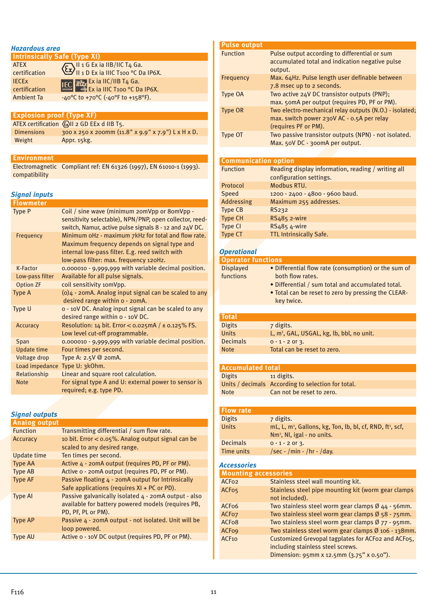### *Hazardous area*

| <b>Intrinsically Safe (Type XI)</b> |                                                                                                                                                                                                                                                                                                                                                                             |  |
|-------------------------------------|-----------------------------------------------------------------------------------------------------------------------------------------------------------------------------------------------------------------------------------------------------------------------------------------------------------------------------------------------------------------------------|--|
| <b>ATEX</b>                         | $\left(\sum_{i=1}^{\infty} \frac{11}{10} \frac{1}{10} \frac{1}{10} \frac{1}{10} \frac{1}{10} \frac{1}{10} \frac{1}{10} \frac{1}{10} \frac{1}{10} \frac{1}{10} \frac{1}{10} \frac{1}{10} \frac{1}{10} \frac{1}{10} \frac{1}{10} \frac{1}{10} \frac{1}{10} \frac{1}{10} \frac{1}{10} \frac{1}{10} \frac{1}{10} \frac{1}{10} \frac{1}{10} \frac{1}{10} \frac{1}{10} \frac{1}{$ |  |
| certification                       |                                                                                                                                                                                                                                                                                                                                                                             |  |
| <b>IECEX</b>                        | <b>IEC RECEX EX IA IIC/IIB T4 Ga.</b><br><b>IEC RECEX EX IA IIIC T100 °C Da IP6X.</b>                                                                                                                                                                                                                                                                                       |  |
| certification                       |                                                                                                                                                                                                                                                                                                                                                                             |  |
| <b>Ambient Ta</b>                   | -40°C to +70°C (-40°F to +158°F).                                                                                                                                                                                                                                                                                                                                           |  |

| <b>Explosion proof (Type XF)</b> |                                                    |  |
|----------------------------------|----------------------------------------------------|--|
|                                  | ATEX certification (Ex)II 2 GD EEx d IIB T5.       |  |
| <b>Dimensions</b>                | 300 x 250 x 200mm (11.8" x 9.9" x 7.9") L x H x D. |  |
| Weight                           | Appr. 15kg.                                        |  |

### **Environment**

Electromagnetic Compliant ref: EN 61326 (1997), EN 61010-1 (1993). compatibility

### *Signal inputs*

| <b>Flowmeter</b>    |                                                                                                                                                                   |
|---------------------|-------------------------------------------------------------------------------------------------------------------------------------------------------------------|
| <b>Type P</b>       | Coil / sine wave (minimum 20mVpp or 80mVpp -<br>sensitivity selectable), NPN/PNP, open collector, reed-<br>switch, Namur, active pulse signals 8 - 12 and 24V DC. |
| Frequency           | Minimum oHz - maximum 7kHz for total and flow rate.<br>Maximum frequency depends on signal type and                                                               |
|                     | internal low-pass filter. E.g. reed switch with                                                                                                                   |
|                     | low-pass filter: max. frequency 120Hz.                                                                                                                            |
| K-Factor            | 0.000010 - 9,999,999 with variable decimal position.                                                                                                              |
| Low-pass filter     | Available for all pulse signals.                                                                                                                                  |
| <b>Option ZF</b>    | coil sensitivity 10mVpp.                                                                                                                                          |
| Type A              | $(o)$ 4 - 20mA. Analog input signal can be scaled to any<br>desired range within o - 20mA.                                                                        |
| Type U              | o - 10V DC. Analog input signal can be scaled to any<br>desired range within o - 10V DC.                                                                          |
| Accuracy            | Resolution: 14 bit. Error < $0.025mA$ / ± $0.125\%$ FS.<br>Low level cut-off programmable.                                                                        |
| Span                | 0.000010 - 9,999,999 with variable decimal position.                                                                                                              |
| <b>Update time</b>  | Four times per second.                                                                                                                                            |
| <b>Voltage drop</b> | Type A: 2.5V @ 20mA.                                                                                                                                              |
|                     | Load impedance Type U: 3kOhm.                                                                                                                                     |
| Relationship        | Linear and square root calculation.                                                                                                                               |
| <b>Note</b>         | For signal type A and U: external power to sensor is                                                                                                              |
|                     | required; e.g. type PD.                                                                                                                                           |
|                     |                                                                                                                                                                   |

### *Signal outputs*

| <b>Analog output</b> |                                                      |
|----------------------|------------------------------------------------------|
| <b>Function</b>      | Transmitting differential / sum flow rate.           |
| <b>Accuracy</b>      | 10 bit. Error $<$ 0.05%. Analog output signal can be |
|                      | scaled to any desired range.                         |
| Update time          | Ten times per second.                                |
| <b>Type AA</b>       | Active 4 - 20mA output (requires PD, PF or PM).      |
| <b>Type AB</b>       | Active o - 20mA output (requires PD, PF or PM).      |
| <b>Type AF</b>       | Passive floating 4 - 20mA output for Intrinsically   |
|                      | Safe applications (requires XI + PC or PD).          |
| <b>Type AI</b>       | Passive galvanically isolated 4 - 20mA output - also |
|                      | available for battery powered models (requires PB,   |
|                      | PD, PF, PL or PM).                                   |
| <b>Type AP</b>       | Passive 4 - 20mA output - not isolated. Unit will be |
|                      | loop powered.                                        |
| <b>Type AU</b>       | Active o - 10V DC output (requires PD, PF or PM).    |
|                      |                                                      |

| <b>Function</b>             | Pulse output according to differential or sum           |
|-----------------------------|---------------------------------------------------------|
|                             | accumulated total and indication negative pulse         |
|                             | output.                                                 |
| Frequency                   | Max. 64Hz. Pulse length user definable between          |
|                             | 7.8 msec up to 2 seconds.                               |
| Type OA                     | Two active 24V DC transistor outputs (PNP);             |
|                             | max. 50mA per output (requires PD, PF or PM).           |
| <b>Type OR</b>              | Two electro-mechanical relay outputs (N.O.) - isolated; |
|                             | max. switch power 230V AC - 0.5A per relay              |
|                             | (requires PF or PM).                                    |
| Type OT                     | Two passive transistor outputs (NPN) - not isolated.    |
|                             | Max. 50V DC - 300mA per output.                         |
|                             |                                                         |
| <b>Communication option</b> |                                                         |
| <b>Function</b>             | Reading display information, reading / writing all      |
|                             | configuration settings.                                 |
|                             |                                                         |

| <u>i uliction</u> | Reading display information, reading / writing all |  |  |  |  |  |  |
|-------------------|----------------------------------------------------|--|--|--|--|--|--|
|                   | configuration settings.                            |  |  |  |  |  |  |
| Protocol          | Modbus RTU.                                        |  |  |  |  |  |  |
| Speed             | 1200 - 2400 - 4800 - 9600 baud.                    |  |  |  |  |  |  |
| Addressing        | Maximum 255 addresses.                             |  |  |  |  |  |  |
| <b>Type CB</b>    | RS232                                              |  |  |  |  |  |  |
| <b>Type CH</b>    | RS485 2-wire                                       |  |  |  |  |  |  |
| <b>Type CI</b>    | RS485 4-wire                                       |  |  |  |  |  |  |
| <b>Type CT</b>    | <b>TTL Intrinsically Safe.</b>                     |  |  |  |  |  |  |

### *Operational*

**Pulse output**

| <b>Operator functions</b> |                                                      |
|---------------------------|------------------------------------------------------|
| <b>Displayed</b>          | • Differential flow rate (consumption) or the sum of |
| functions                 | both flow rates.                                     |
|                           | • Differential / sum total and accumulated total.    |
|                           | • Total can be reset to zero by pressing the CLEAR-  |
|                           | key twice.                                           |
|                           |                                                      |
| <b>Total</b>              |                                                      |
| <b>Digits</b>             | z digits                                             |

| <b>Digits</b>   | 7 digits.                                               |
|-----------------|---------------------------------------------------------|
| Units           | L, $m^3$ , GAL, USGAL, $kg$ , $lb$ , $bbl$ , $no$ unit. |
| <b>Decimals</b> | $0 - 1 - 2$ or 3.                                       |
| <b>Note</b>     | Total can be reset to zero.                             |
|                 |                                                         |

### **Accumulated total**

| <b>Digits</b> | 11 digits.                                         |  |  |  |  |  |  |
|---------------|----------------------------------------------------|--|--|--|--|--|--|
|               | Units / decimals According to selection for total. |  |  |  |  |  |  |
| <b>Note</b>   | Can not be reset to zero.                          |  |  |  |  |  |  |

### **Flow rate** Digits 7 digits. Units  $mL, L, m^3$ , Gallons, kg, Ton, lb, bl, cf, RND, ft<sup>3</sup>, scf, Nm3 , Nl, igal - no units. Decimals  $0 - 1 - 2$  or 3. Time units  $/sec - /min - /hr - /day$ .

### *Accessories* **Mounting accessories** ACF02 Stainless steel wall mounting kit. ACF05 Stainless steel pipe mounting kit (worm gear clamps not included). ACF06 Two stainless steel worm gear clamps Ø 44 - 56mm. ACF07 Two stainless steel worm gear clamps Ø 58 - 75mm. ACF08 Two stainless steel worm gear clamps Ø 77 - 95mm. ACF09 Two stainless steel worm gear clamps Ø 106 - 138mm. ACF10 Customized Grevopal tagplates for ACF02 and ACF05, including stainless steel screws. Dimension: 95mm x 12.5mm (3.75" x 0.50").